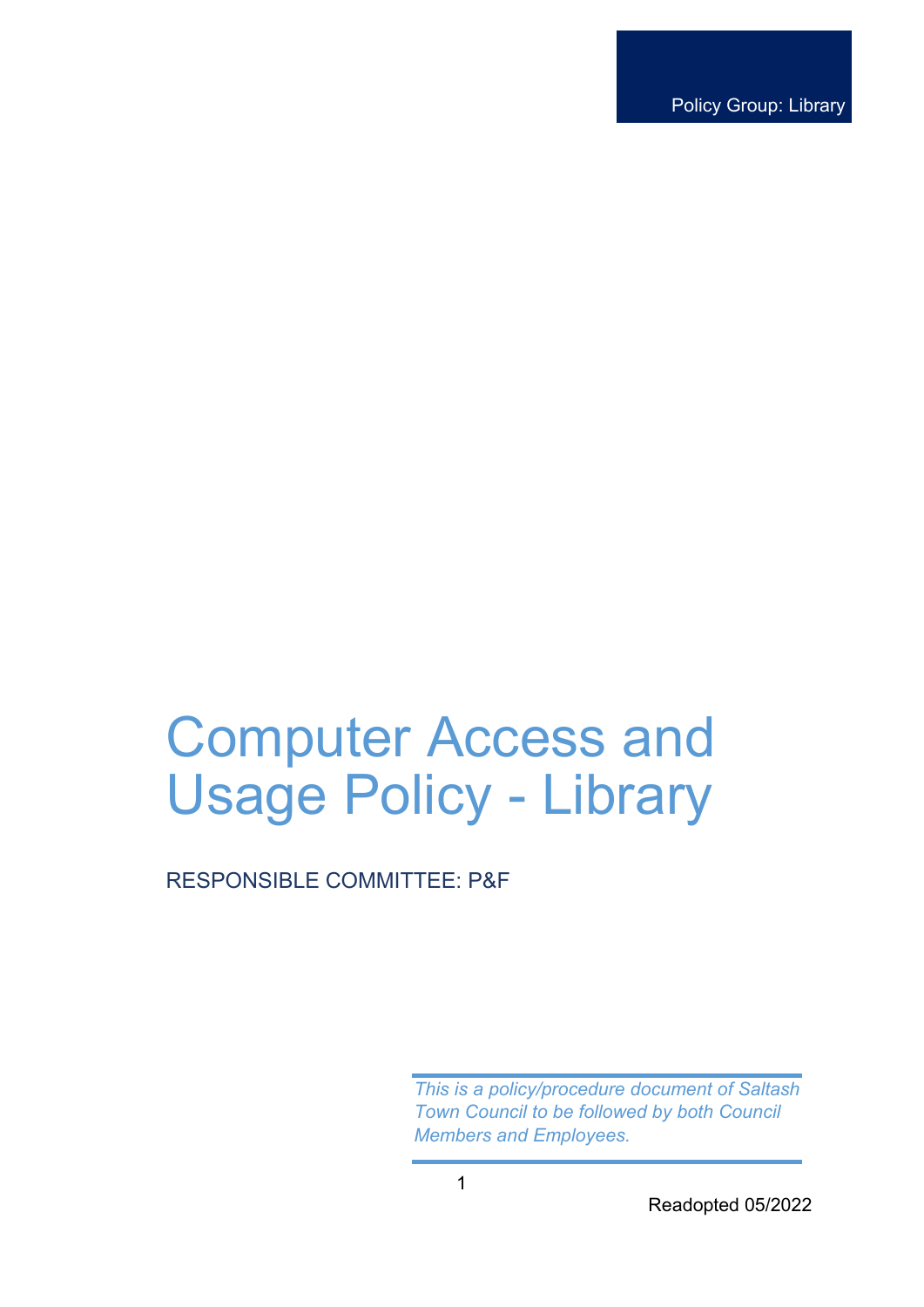Policy Group: Library

# Computer Access and Usage Policy - Library

# RESPONSIBLE COMMITTEE: P&F

*This is a policy/procedure document of Saltash Town Council to be followed by both Council Members and Employees.*

Readopted 05/2022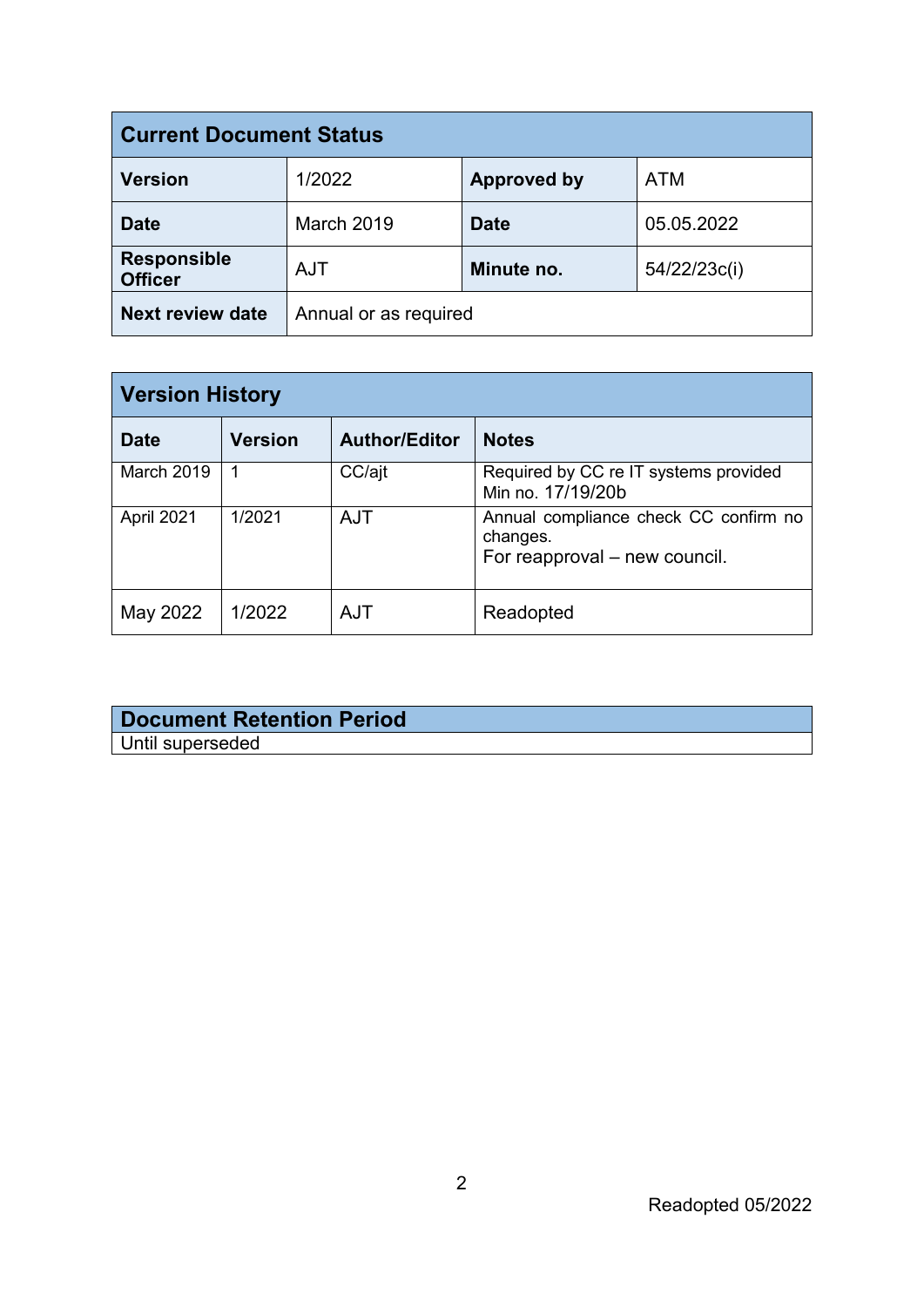| <b>Current Document Status</b>       |                       |                    |              |  |
|--------------------------------------|-----------------------|--------------------|--------------|--|
| <b>Version</b>                       | 1/2022                | <b>Approved by</b> | <b>ATM</b>   |  |
| <b>Date</b>                          | <b>March 2019</b>     | <b>Date</b>        | 05.05.2022   |  |
| <b>Responsible</b><br><b>Officer</b> | <b>AJT</b>            | Minute no.         | 54/22/23c(i) |  |
| <b>Next review date</b>              | Annual or as required |                    |              |  |

| <b>Version History</b> |                |                      |                                                                                    |  |
|------------------------|----------------|----------------------|------------------------------------------------------------------------------------|--|
| <b>Date</b>            | <b>Version</b> | <b>Author/Editor</b> | <b>Notes</b>                                                                       |  |
| March 2019             |                | CC/ajt               | Required by CC re IT systems provided<br>Min no. 17/19/20b                         |  |
| April 2021             | 1/2021         | <b>AJT</b>           | Annual compliance check CC confirm no<br>changes.<br>For reapproval – new council. |  |
| May 2022               | 1/2022         | AJT                  | Readopted                                                                          |  |

## **Document Retention Period** Until superseded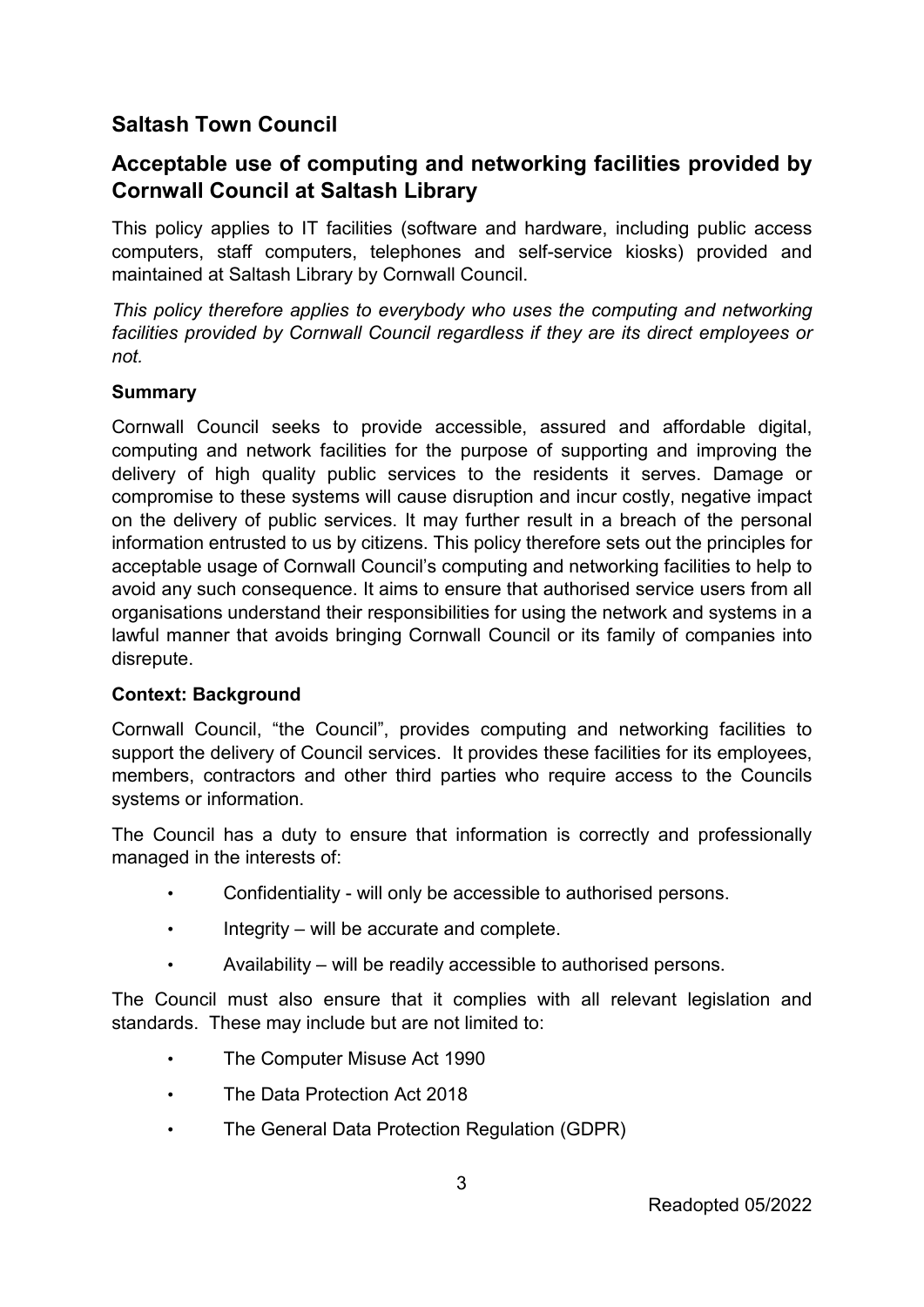# **Saltash Town Council**

# **Acceptable use of computing and networking facilities provided by Cornwall Council at Saltash Library**

This policy applies to IT facilities (software and hardware, including public access computers, staff computers, telephones and self-service kiosks) provided and maintained at Saltash Library by Cornwall Council.

*This policy therefore applies to everybody who uses the computing and networking facilities provided by Cornwall Council regardless if they are its direct employees or not.* 

#### **Summary**

Cornwall Council seeks to provide accessible, assured and affordable digital, computing and network facilities for the purpose of supporting and improving the delivery of high quality public services to the residents it serves. Damage or compromise to these systems will cause disruption and incur costly, negative impact on the delivery of public services. It may further result in a breach of the personal information entrusted to us by citizens. This policy therefore sets out the principles for acceptable usage of Cornwall Council's computing and networking facilities to help to avoid any such consequence. It aims to ensure that authorised service users from all organisations understand their responsibilities for using the network and systems in a lawful manner that avoids bringing Cornwall Council or its family of companies into disrepute.

#### **Context: Background**

Cornwall Council, "the Council", provides computing and networking facilities to support the delivery of Council services. It provides these facilities for its employees, members, contractors and other third parties who require access to the Councils systems or information.

The Council has a duty to ensure that information is correctly and professionally managed in the interests of:

- Confidentiality will only be accessible to authorised persons.
- Integrity will be accurate and complete.
- Availability will be readily accessible to authorised persons.

The Council must also ensure that it complies with all relevant legislation and standards. These may include but are not limited to:

- The Computer Misuse Act 1990
- The Data Protection Act 2018
- The General Data Protection Regulation (GDPR)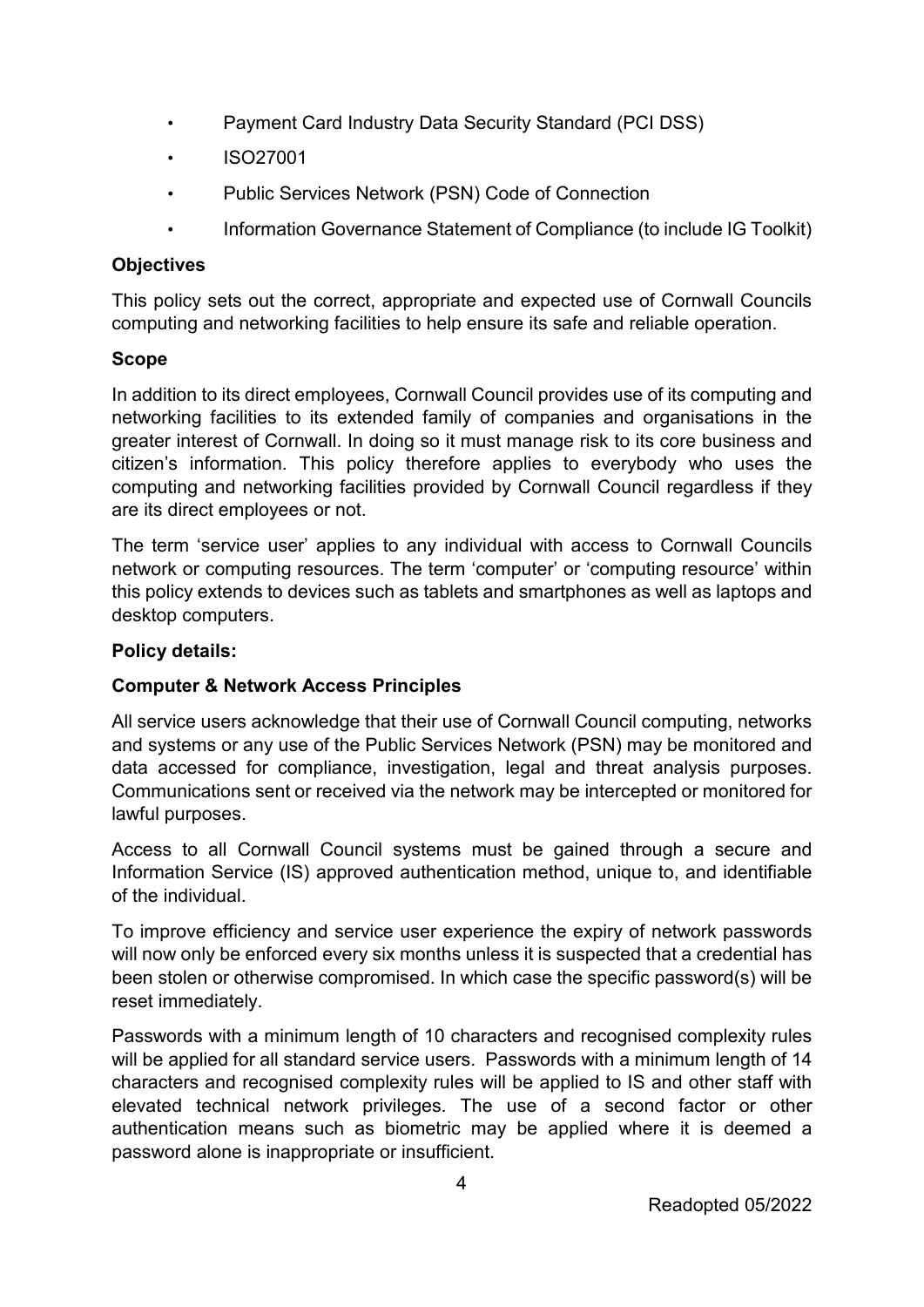- Payment Card Industry Data Security Standard (PCI DSS)
- ISO27001
- Public Services Network (PSN) Code of Connection
- Information Governance Statement of Compliance (to include IG Toolkit)

### **Objectives**

This policy sets out the correct, appropriate and expected use of Cornwall Councils computing and networking facilities to help ensure its safe and reliable operation.

#### **Scope**

In addition to its direct employees, Cornwall Council provides use of its computing and networking facilities to its extended family of companies and organisations in the greater interest of Cornwall. In doing so it must manage risk to its core business and citizen's information. This policy therefore applies to everybody who uses the computing and networking facilities provided by Cornwall Council regardless if they are its direct employees or not.

The term 'service user' applies to any individual with access to Cornwall Councils network or computing resources. The term 'computer' or 'computing resource' within this policy extends to devices such as tablets and smartphones as well as laptops and desktop computers.

#### **Policy details:**

## **Computer & Network Access Principles**

All service users acknowledge that their use of Cornwall Council computing, networks and systems or any use of the Public Services Network (PSN) may be monitored and data accessed for compliance, investigation, legal and threat analysis purposes. Communications sent or received via the network may be intercepted or monitored for lawful purposes.

Access to all Cornwall Council systems must be gained through a secure and Information Service (IS) approved authentication method, unique to, and identifiable of the individual.

To improve efficiency and service user experience the expiry of network passwords will now only be enforced every six months unless it is suspected that a credential has been stolen or otherwise compromised. In which case the specific password(s) will be reset immediately.

Passwords with a minimum length of 10 characters and recognised complexity rules will be applied for all standard service users. Passwords with a minimum length of 14 characters and recognised complexity rules will be applied to IS and other staff with elevated technical network privileges. The use of a second factor or other authentication means such as biometric may be applied where it is deemed a password alone is inappropriate or insufficient.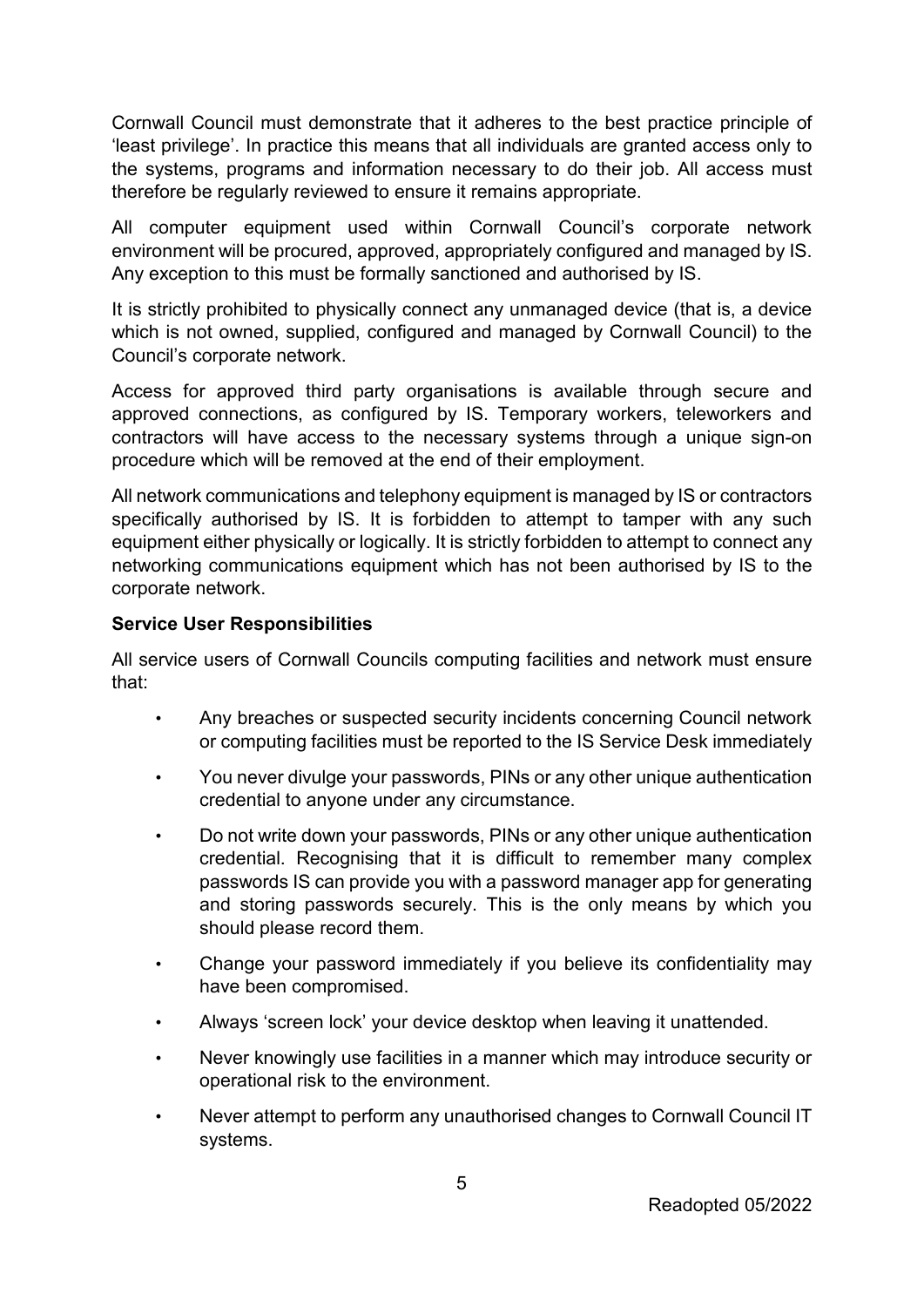Cornwall Council must demonstrate that it adheres to the best practice principle of 'least privilege'. In practice this means that all individuals are granted access only to the systems, programs and information necessary to do their job. All access must therefore be regularly reviewed to ensure it remains appropriate.

All computer equipment used within Cornwall Council's corporate network environment will be procured, approved, appropriately configured and managed by IS. Any exception to this must be formally sanctioned and authorised by IS.

It is strictly prohibited to physically connect any unmanaged device (that is, a device which is not owned, supplied, configured and managed by Cornwall Council) to the Council's corporate network.

Access for approved third party organisations is available through secure and approved connections, as configured by IS. Temporary workers, teleworkers and contractors will have access to the necessary systems through a unique sign-on procedure which will be removed at the end of their employment.

All network communications and telephony equipment is managed by IS or contractors specifically authorised by IS. It is forbidden to attempt to tamper with any such equipment either physically or logically. It is strictly forbidden to attempt to connect any networking communications equipment which has not been authorised by IS to the corporate network.

#### **Service User Responsibilities**

All service users of Cornwall Councils computing facilities and network must ensure that:

- Any breaches or suspected security incidents concerning Council network or computing facilities must be reported to the IS Service Desk immediately
- You never divulge your passwords, PINs or any other unique authentication credential to anyone under any circumstance.
- Do not write down your passwords, PINs or any other unique authentication credential. Recognising that it is difficult to remember many complex passwords IS can provide you with a password manager app for generating and storing passwords securely. This is the only means by which you should please record them.
- Change your password immediately if you believe its confidentiality may have been compromised.
- Always 'screen lock' your device desktop when leaving it unattended.
- Never knowingly use facilities in a manner which may introduce security or operational risk to the environment.
- Never attempt to perform any unauthorised changes to Cornwall Council IT systems.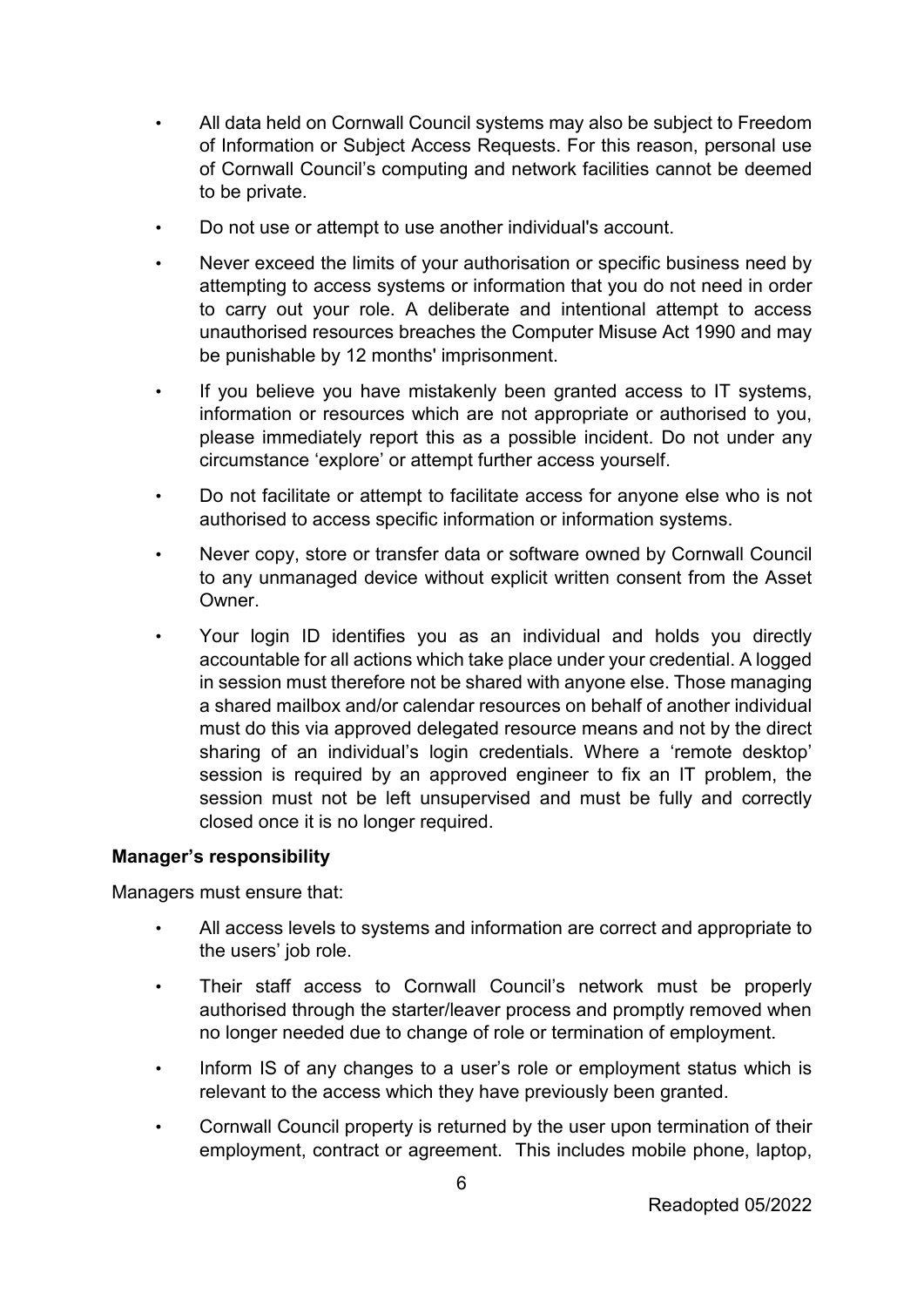- All data held on Cornwall Council systems may also be subject to Freedom of Information or Subject Access Requests. For this reason, personal use of Cornwall Council's computing and network facilities cannot be deemed to be private.
- Do not use or attempt to use another individual's account.
- Never exceed the limits of your authorisation or specific business need by attempting to access systems or information that you do not need in order to carry out your role. A deliberate and intentional attempt to access unauthorised resources breaches the Computer Misuse Act 1990 and may be punishable by 12 months' imprisonment.
- If you believe you have mistakenly been granted access to IT systems, information or resources which are not appropriate or authorised to you, please immediately report this as a possible incident. Do not under any circumstance 'explore' or attempt further access yourself.
- Do not facilitate or attempt to facilitate access for anyone else who is not authorised to access specific information or information systems.
- Never copy, store or transfer data or software owned by Cornwall Council to any unmanaged device without explicit written consent from the Asset Owner.
- Your login ID identifies you as an individual and holds you directly accountable for all actions which take place under your credential. A logged in session must therefore not be shared with anyone else. Those managing a shared mailbox and/or calendar resources on behalf of another individual must do this via approved delegated resource means and not by the direct sharing of an individual's login credentials. Where a 'remote desktop' session is required by an approved engineer to fix an IT problem, the session must not be left unsupervised and must be fully and correctly closed once it is no longer required.

#### **Manager's responsibility**

Managers must ensure that:

- All access levels to systems and information are correct and appropriate to the users' job role.
- Their staff access to Cornwall Council's network must be properly authorised through the starter/leaver process and promptly removed when no longer needed due to change of role or termination of employment.
- Inform IS of any changes to a user's role or employment status which is relevant to the access which they have previously been granted.
- Cornwall Council property is returned by the user upon termination of their employment, contract or agreement. This includes mobile phone, laptop,